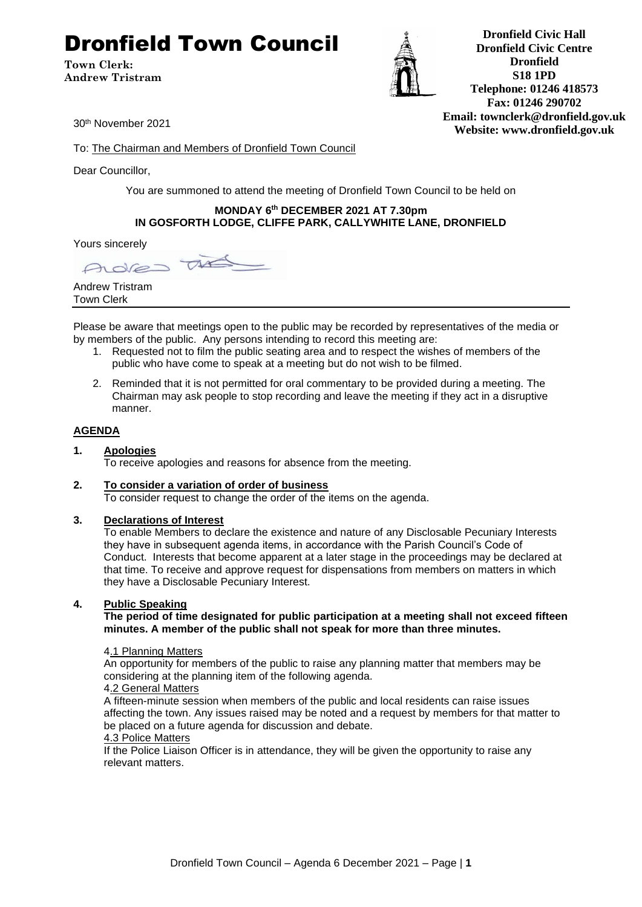# Dronfield Town Council

**Town Clerk: Andrew Tristram**



**Dronfield Civic Hall Dronfield Civic Centre Dronfield S18 1PD Telephone: 01246 418573 Fax: 01246 290702 Email: townclerk@dronfield.gov.uk Website: www.dronfield.gov.uk**

30th November 2021

To: The Chairman and Members of Dronfield Town Council

Dear Councillor,

You are summoned to attend the meeting of Dronfield Town Council to be held on

#### **MONDAY 6 th DECEMBER 2021 AT 7.30pm IN GOSFORTH LODGE, CLIFFE PARK, CALLYWHITE LANE, DRONFIELD**

Yours sincerely

 $\tau$ Adre

Andrew Tristram Town Clerk

Please be aware that meetings open to the public may be recorded by representatives of the media or by members of the public. Any persons intending to record this meeting are:

- 1. Requested not to film the public seating area and to respect the wishes of members of the public who have come to speak at a meeting but do not wish to be filmed.
- 2. Reminded that it is not permitted for oral commentary to be provided during a meeting. The Chairman may ask people to stop recording and leave the meeting if they act in a disruptive manner.

# **AGENDA**

**1. Apologies** To receive apologies and reasons for absence from the meeting.

# **2. To consider a variation of order of business**

To consider request to change the order of the items on the agenda.

#### **3. Declarations of Interest**

To enable Members to declare the existence and nature of any Disclosable Pecuniary Interests they have in subsequent agenda items, in accordance with the Parish Council's Code of Conduct. Interests that become apparent at a later stage in the proceedings may be declared at that time. To receive and approve request for dispensations from members on matters in which they have a Disclosable Pecuniary Interest.

#### **4. Public Speaking**

**The period of time designated for public participation at a meeting shall not exceed fifteen minutes. A member of the public shall not speak for more than three minutes.**

#### 4.1 Planning Matters

An opportunity for members of the public to raise any planning matter that members may be considering at the planning item of the following agenda.

#### 4.2 General Matters

A fifteen-minute session when members of the public and local residents can raise issues affecting the town. Any issues raised may be noted and a request by members for that matter to be placed on a future agenda for discussion and debate.

#### 4.3 Police Matters

If the Police Liaison Officer is in attendance, they will be given the opportunity to raise any relevant matters.